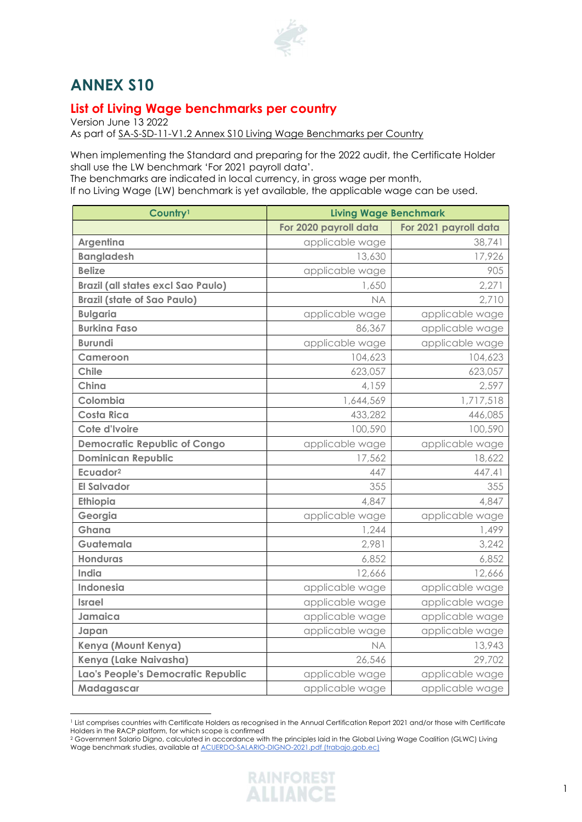

## ANNEX S10

## List of Living Wage benchmarks per country

Version June 13 2022

As part of SA-S-SD-11-V1.2 Annex S10 Living Wage Benchmarks per Country

When implementing the Standard and preparing for the 2022 audit, the Certificate Holder shall use the LW benchmark 'For 2021 payroll data'.

The benchmarks are indicated in local currency, in gross wage per month,

If no Living Wage (LW) benchmark is yet available, the applicable wage can be used.

| Country <sup>1</sup>                      | <b>Living Wage Benchmark</b> |                       |
|-------------------------------------------|------------------------------|-----------------------|
|                                           | For 2020 payroll data        | For 2021 payroll data |
| Argentina                                 | applicable wage              | 38,741                |
| <b>Bangladesh</b>                         | 13,630                       | 17,926                |
| <b>Belize</b>                             | applicable wage              | 905                   |
| <b>Brazil (all states excl Sao Paulo)</b> | 1,650                        | 2,271                 |
| <b>Brazil (state of Sao Paulo)</b>        | <b>NA</b>                    | 2,710                 |
| <b>Bulgaria</b>                           | applicable wage              | applicable wage       |
| <b>Burkina Faso</b>                       | 86,367                       | applicable wage       |
| <b>Burundi</b>                            | applicable wage              | applicable wage       |
| Cameroon                                  | 104,623                      | 104,623               |
| <b>Chile</b>                              | 623,057                      | 623,057               |
| China                                     | 4,159                        | 2,597                 |
| Colombia                                  | 1,644,569                    | 1,717,518             |
| <b>Costa Rica</b>                         | 433,282                      | 446,085               |
| Cote d'Ivoire                             | 100,590                      | 100,590               |
| <b>Democratic Republic of Congo</b>       | applicable wage              | applicable wage       |
| <b>Dominican Republic</b>                 | 17,562                       | 18,622                |
| Ecuador <sup>2</sup>                      | 447                          | 447.41                |
| <b>El Salvador</b>                        | 355                          | 355                   |
| Ethiopia                                  | 4,847                        | 4,847                 |
| Georgia                                   | applicable wage              | applicable wage       |
| Ghana                                     | 1,244                        | 1,499                 |
| Guatemala                                 | 2,981                        | 3,242                 |
| <b>Honduras</b>                           | 6,852                        | 6,852                 |
| India                                     | 12,666                       | 12,666                |
| <b>Indonesia</b>                          | applicable wage              | applicable wage       |
| <b>Israel</b>                             | applicable wage              | applicable wage       |
| Jamaica                                   | applicable wage              | applicable wage       |
| Japan                                     | applicable wage              | applicable wage       |
| Kenya (Mount Kenya)                       | <b>NA</b>                    | 13,943                |
| Kenya (Lake Naivasha)                     | 26,546                       | 29,702                |
| Lao's People's Democratic Republic        | applicable wage              | applicable wage       |
| Madagascar                                | applicable wage              | applicable wage       |

<sup>1</sup> List comprises countries with Certificate Holders as recognised in the Annual Certification Report 2021 and/or those with Certificate Holders in the RACP platform, for which scope is confirmed

<sup>2</sup> Government Salario Digno, calculated in accordance with the principles laid in the Global Living Wage Coalition (GLWC) Living Wage benchmark studies, available at ACUERDO-SALARIO-DIGNO-2021.pdf (trabajo.gob.ec)